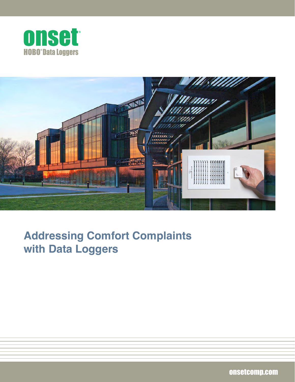



# **Addressing Comfort Complaints with Data Loggers**

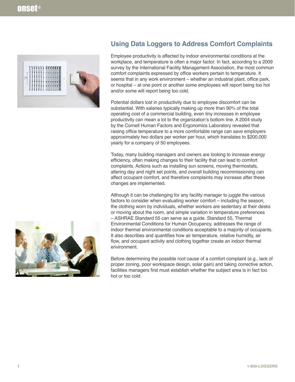



Employee productivity is affected by indoor environmental conditions at the workplace, and temperature is often a major factor. In fact, according to a 2009 survey by the International Facility Management Association, the most common comfort complaints expressed by office workers pertain to temperature. It seems that in any work environment – whether an industrial plant, office park, or hospital – at one point or another some employees will report being too hot and/or some will report being too cold.

Potential dollars lost in productivity due to employee discomfort can be substantial. With salaries typically making up more than 90% of the total operating cost of a commercial building, even tiny increases in employee productivity can mean a lot to the organization's bottom line. A 2004 study by the Cornell Human Factors and Ergonomics Laboratory revealed that raising office temperature to a more comfortable range can save employers approximately two dollars per worker per hour, which translates to \$200,000 yearly for a company of 50 employees.

Today, many building managers and owners are looking to increase energy efficiency, often making changes to their facility that can lead to comfort complaints. Actions such as installing sun screens, moving thermostats, altering day and night set points, and overall building recommissioning can affect occupant comfort, and therefore complaints may increase after these changes are implemented.

Although it can be challenging for any facility manager to juggle the various factors to consider when evaluating worker comfort – including the season, the clothing worn by individuals, whether workers are sedentary at their desks or moving about the room, and simple variation in temperature preferences – ASHRAE Standard 55 can serve as a guide. Standard 55, Thermal Environmental Conditions for Human Occupancy, addresses the range of indoor thermal environmental conditions acceptable to a majority of occupants. It also describes and quantifies how air temperature, relative humidity, air flow, and occupant activity and clothing together create an indoor thermal environment.

Before determining the possible root cause of a comfort complaint (e.g., lack of proper zoning, poor workspace design, solar gain) and taking corrective action, facilities managers first must establish whether the subject area is in fact too hot or too cold.

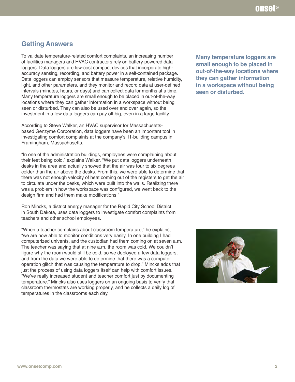### **Getting Answers**

To validate temperature-related comfort complaints, an increasing number of facilities managers and HVAC contractors rely on battery-powered data loggers. Data loggers are low-cost compact devices that incorporate highaccuracy sensing, recording, and battery power in a self-contained package. Data loggers can employ sensors that measure temperature, relative humidity, light, and other parameters, and they monitor and record data at user-defined intervals (minutes, hours, or days) and can collect data for months at a time. Many temperature loggers are small enough to be placed in out-of-the-way locations where they can gather information in a workspace without being seen or disturbed. They can also be used over and over again, so the investment in a few data loggers can pay off big, even in a large facility.

According to Steve Walker, an HVAC supervisor for Massachusettsbased Genzyme Corporation, data loggers have been an important tool in investigating comfort complaints at the company's 11-building campus in Framingham, Massachusetts.

"In one of the administration buildings, employees were complaining about their feet being cold," explains Walker. "We put data loggers underneath desks in the area and actually showed that the air was four to six degrees colder than the air above the desks. From this, we were able to determine that there was not enough velocity of heat coming out of the registers to get the air to circulate under the desks, which were built into the walls. Realizing there was a problem in how the workspace was configured, we went back to the design firm and had them make modifications."

Ron Mincks, a district energy manager for the Rapid City School District in South Dakota, uses data loggers to investigate comfort complaints from teachers and other school employees.

"When a teacher complains about classroom temperature," he explains, "we are now able to monitor conditions very easily. In one building I had computerized univents, and the custodian had them coming on at seven a.m. The teacher was saying that at nine a.m. the room was cold. We couldn't figure why the room would still be cold, so we deployed a few data loggers, and from the data we were able to determine that there was a computer operation glitch that was causing the temperature to drop." Mincks adds that just the process of using data loggers itself can help with comfort issues. "We've really increased student and teacher comfort just by documenting temperature." Mincks also uses loggers on an ongoing basis to verify that classroom thermostats are working properly, and he collects a daily log of temperatures in the classrooms each day.

**Many temperature loggers are small enough to be placed in out-of-the-way locations where they can gather information in a workspace without being seen or disturbed.**

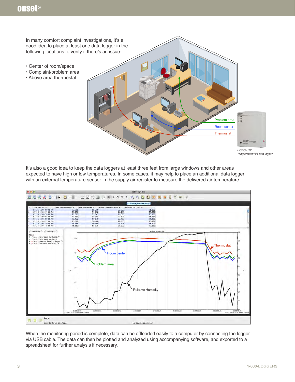In many comfort complaint investigations, it's a good idea to place at least one data logger in the following locations to verify if there's an issue: • Center of room/space • Complaint/problem area • Above area thermostat E Problem area Room center **Thermostat** HOBO  $\bullet$ *HOBO U12 Temperature/RH data logger*

It's also a good idea to keep the data loggers at least three feet from large windows and other areas expected to have high or low temperatures. In some cases, it may help to place an additional data logger with an external temperature sensor in the supply air register to measure the delivered air temperature.



When the monitoring period is complete, data can be offloaded easily to a computer by connecting the logger via USB cable. The data can then be plotted and analyzed using accompanying software, and exported to a spreadsheet for further analysis if necessary.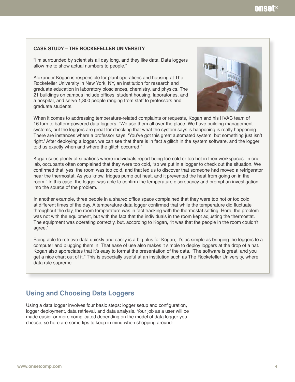#### **CASE STUDY – THE ROCKEFELLER UNIVERSITY**

"I'm surrounded by scientists all day long, and they like data. Data loggers allow me to show actual numbers to people."

Alexander Kogan is responsible for plant operations and housing at The Rockefeller University in New York, NY, an institution for research and graduate education in laboratory biosciences, chemistry, and physics. The 21 buildings on campus include offices, student housing, laboratories, and a hospital, and serve 1,800 people ranging from staff to professors and graduate students.



When it comes to addressing temperature-related complaints or requests, Kogan and his HVAC team of 16 turn to battery-powered data loggers. "We use them all over the place. We have building management systems, but the loggers are great for checking that what the system says is happening is really happening. There are instances where a professor says, 'You've got this great automated system, but something just isn't right.' After deploying a logger, we can see that there is in fact a glitch in the system software, and the logger told us exactly when and where the glitch occurred."

Kogan sees plenty of situations where individuals report being too cold or too hot in their workspaces. In one lab, occupants often complained that they were too cold, "so we put in a logger to check out the situation. We confirmed that, yes, the room was too cold, and that led us to discover that someone had moved a refrigerator near the thermostat. As you know, fridges pump out heat, and it prevented the heat from going on in the room." In this case, the logger was able to confirm the temperature discrepancy and prompt an investigation into the source of the problem.

In another example, three people in a shared office space complained that they were too hot or too cold at different times of the day. A temperature data logger confirmed that while the temperature did fluctuate throughout the day, the room temperature was in fact tracking with the thermostat setting. Here, the problem was not with the equipment, but with the fact that the individuals in the room kept adjusting the thermostat. The equipment was operating correctly, but, according to Kogan, "It was that the people in the room couldn't agree."

Being able to retrieve data quickly and easily is a big plus for Kogan; it's as simple as bringing the loggers to a computer and plugging them in. That ease of use also makes it simple to deploy loggers at the drop of a hat. Kogan also appreciates that it's easy to format the presentation of the data. "The software is great, and you get a nice chart out of it." This is especially useful at an institution such as The Rockefeller University, where data rule supreme.

## **Using and Choosing Data Loggers**

Using a data logger involves four basic steps: logger setup and configuration, logger deployment, data retrieval, and data analysis. Your job as a user will be made easier or more complicated depending on the model of data logger you choose, so here are some tips to keep in mind when shopping around: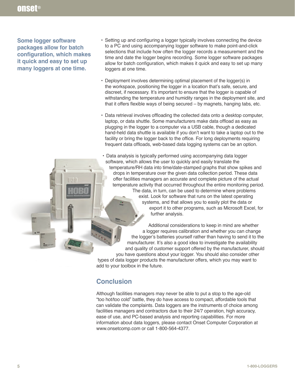**Some logger software packages allow for batch configuration, which makes it quick and easy to set up many loggers at one time.** 

- Setting up and configuring a logger typically involves connecting the device to a PC and using accompanying logger software to make point-and-click selections that include how often the logger records a measurement and the time and date the logger begins recording. Some logger software packages allow for batch configuration, which makes it quick and easy to set up many loggers at one time.
- Deployment involves determining optimal placement of the logger(s) in the workspace, positioning the logger in a location that's safe, secure, and discreet, if necessary. It's important to ensure that the logger is capable of withstanding the temperature and humidity ranges in the deployment site, and that it offers flexible ways of being secured – by magnets, hanging tabs, etc.
- Data retrieval involves offloading the collected data onto a desktop computer, laptop, or data shuttle. Some manufacturers make data offload as easy as plugging in the logger to a computer via a USB cable, though a dedicated hand-held data shuttle is available if you don't want to take a laptop out to the facility or bring the logger back to the office. For long deployments requiring frequent data offloads, web-based data logging systems can be an option.

• Data analysis is typically performed using accompanying data logger software, which allows the user to quickly and easily translate the temperature/RH data into time/date-stamped graphs that show spikes and drops in temperature over the given data collection period. These data offer facilities managers an accurate and complete picture of the actual temperature activity that occurred throughout the entire monitoring period. The data, in turn, can be used to determine where problems exist. Look for software that runs on the latest operating systems, and that allows you to easily plot the data or export it to other programs, such as Microsoft Excel, for further analysis.

Additional considerations to keep in mind are whether a logger requires calibration and whether you can change the logger's batteries yourself rather than having to send it to the manufacturer. It's also a good idea to investigate the availability and quality of customer support offered by the manufacturer, should you have questions about your logger. You should also consider other types of data logger products the manufacturer offers, which you may want to

add to your toolbox in the future.

### **Conclusion**

Although facilities managers may never be able to put a stop to the age-old "too hot/too cold" battle, they do have access to compact, affordable tools that can validate the complaints. Data loggers are the instruments of choice among facilities managers and contractors due to their 24/7 operation, high accuracy, ease of use, and PC-based analysis and reporting capabilities. For more information about data loggers, please contact Onset Computer Corporation at www.onsetcomp.com or call 1-800-564-4377.

1111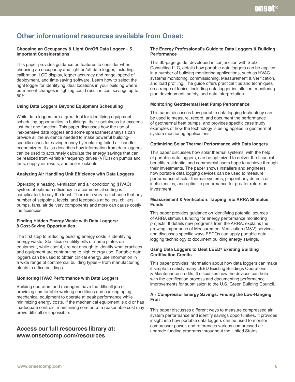# **Other informational resources available from Onset:**

#### **Choosing an Occupancy & Light On/Off Data Logger – 5 Important Considerations**

This paper provides guidance on features to consider when choosing an occupancy and light on/off data logger, including calibration, LCD display, logger accuracy and range, speed of deployment, and time-saving software. Learn how to select the right logger for identifying ideal locations in your building where permanent changes in lighting could result in cost savings up to 80%.

#### **Using Data Loggers Beyond Equipment Scheduling**

While data loggers are a great tool for identifying equipmentscheduling opportunities in buildings, their usefulness far exceeds just that one function. This paper discusses how the use of inexpensive data loggers and some spreadsheet analysis can provide all the evidence needed to make powerful buildingspecific cases for saving money by replacing failed air-handler economizers. It also describes how information from data loggers can be used to accurately calculate the energy savings that can be realized from variable frequency drives (VFDs) on pumps and fans, supply air resets, and boiler lockouts.

#### **Analyzing Air Handling Unit Efficiency with Data Loggers**

Operating a heating, ventilation and air conditioning (HVAC) system at optimum efficiency in a commercial setting is complicated, to say the least. There is a very real chance that any number of setpoints, levels, and feedbacks at boilers, chillers, pumps, fans, air delivery components and more can cause costly inefficiencies.

#### **Finding Hidden Energy Waste with Data Loggers: 8 Cost-Saving Opportunities**

The first step to reducing building energy costs is identifying energy waste. Statistics on utility bills or name plates on equipment, while useful, are not enough to identify what practices and equipment are contributing to high energy use. Portable data loggers can be used to obtain critical energy use information in a wide range of commercial building types – from manufacturing plants to office buildings.

#### **Monitoring HVAC Performance with Data Loggers**

Building operators and managers have the difficult job of providing comfortable working conditions and coaxing aging mechanical equipment to operate at peak performance while minimizing energy costs. If the mechanical equipment is old or has inadequate controls, maintaining comfort at a reasonable cost may prove difficult or impossible.

#### **Access our full resources library at: www.onsetcomp.com/resources**

#### **The Energy Professional's Guide to Data Loggers & Building Performance**

This 30-page guide, developed in conjunction with Stetz Consulting LLC, details how portable data loggers can be applied in a number of building monitoring applications, such as HVAC systems monitoring, commissioning, Measurement & Verification, and load profiling. The guide offers practical tips and techniques on a range of topics, including data logger installation, monitoring plan development, safety, and data interpretation.

#### **Monitoring Geothermal Heat Pump Performance**

This paper discusses how portable data logging technology can be used to measure, record, and document the performance of geothermal heat pumps, and provides specific case study examples of how the technology is being applied in geothermal system monitoring applications.

#### **Optimizing Solar Thermal Performance with Data loggers**

This paper discusses how solar thermal systems, with the help of portable data loggers, can be optimized to deliver the financial benefits residential and commercial users hope to achieve through their investments. The paper shows installers and engineers how portable data logging devices can be used to measure performance of solar thermal systems, pinpoint any defects or inefficiencies, and optimize performance for greater return on investment.

#### **Measurement & Verification: Tapping into ARRA Stimulus Funds**

This paper provides guidance on identifying potential sources of ARRA stimulus funding for energy performance monitoring projects. It details new programs from the ARRA, explains the growing importance of Measurement Verification (M&V) services, and discusses specific ways ESCOs can apply portable data logging technology to document building energy savings.

#### **Using Data Loggers to Meet LEED® Existing Building Certification Credits**

This paper provides information about how data loggers can make it simple to satisfy many LEED Existing Buildings Operations & Maintenance credits. It discusses how the devices can help with the certification process and documenting performance improvements for submission to the U.S. Green Building Council.

#### **Air Compressor Energy Savings: Finding the Low-Hanging Fruit**

This paper discusses different ways to measure compressed air system performance and identify savings opportunities. It provides insight into how portable data loggers can be used to monitor compressor power, and references various compressed air upgrade funding programs throughout the United States.